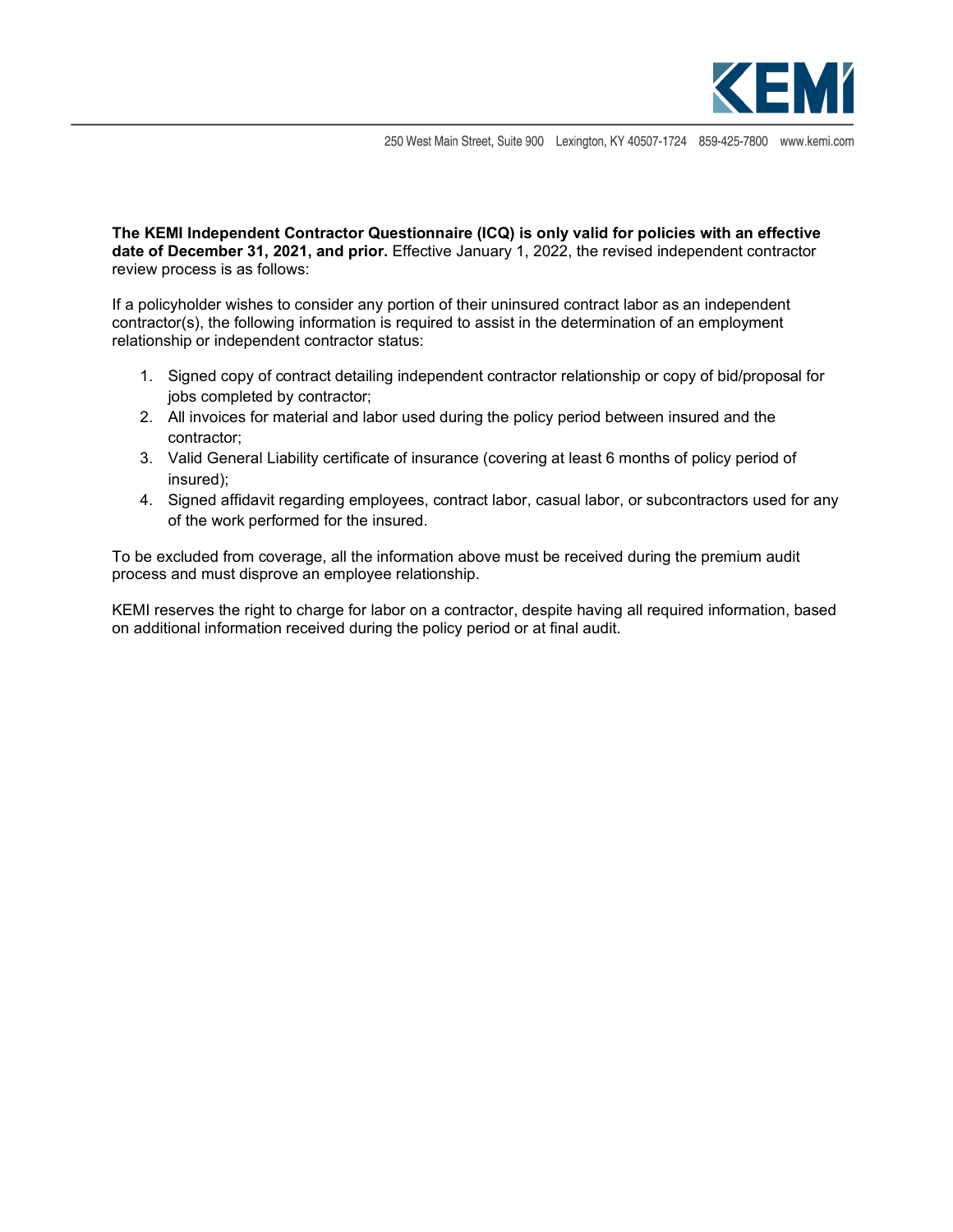

250 West Main Street, Suite 900 Lexington, KY 40507-1724 859-425-7800 www.kemi.com

**The KEMI Independent Contractor Questionnaire (ICQ) is only valid for policies with an effective date of December 31, 2021, and prior.** Effective January 1, 2022, the revised independent contractor review process is as follows:

If a policyholder wishes to consider any portion of their uninsured contract labor as an independent contractor(s), the following information is required to assist in the determination of an employment relationship or independent contractor status:

- 1. Signed copy of contract detailing independent contractor relationship or copy of bid/proposal for jobs completed by contractor;
- 2. All invoices for material and labor used during the policy period between insured and the contractor;
- 3. Valid General Liability certificate of insurance (covering at least 6 months of policy period of insured);
- 4. Signed affidavit regarding employees, contract labor, casual labor, or subcontractors used for any of the work performed for the insured.

To be excluded from coverage, all the information above must be received during the premium audit process and must disprove an employee relationship.

KEMI reserves the right to charge for labor on a contractor, despite having all required information, based on additional information received during the policy period or at final audit.